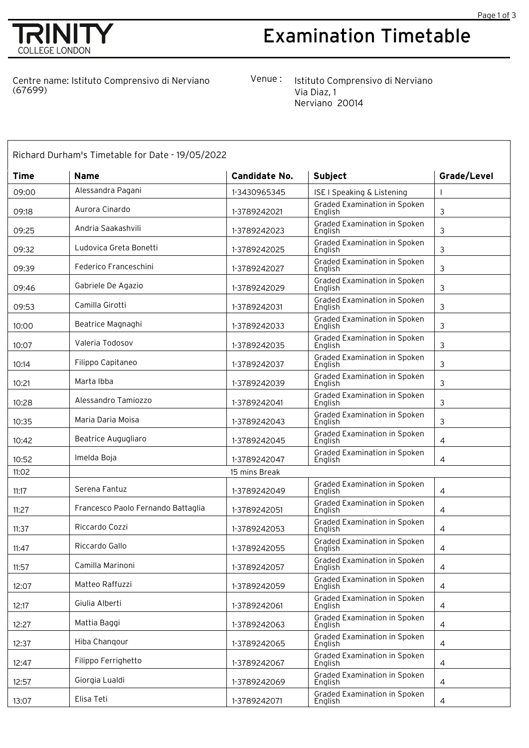



## Examination Timetable

Centre name: Istituto Comprensivo di Nerviano (67699)

Venue : Istituto Comprensivo di Nerviano Via Diaz, 1 Nerviano 20014

| Richard Durham's Timetable for Date - 19/05/2022 |                                    |                      |                                                |                |  |  |  |
|--------------------------------------------------|------------------------------------|----------------------|------------------------------------------------|----------------|--|--|--|
| <b>Time</b>                                      | <b>Name</b>                        | <b>Candidate No.</b> | Subject                                        | Grade/Level    |  |  |  |
| 09:00                                            | Alessandra Pagani                  | 1-3430965345         | <b>ISE I Speaking &amp; Listening</b>          |                |  |  |  |
| 09:18                                            | Aurora Cinardo                     | 1-3789242021         | <b>Graded Examination in Spoken</b><br>English | 3              |  |  |  |
| 09:25                                            | Andria Saakashvili                 | 1-3789242023         | <b>Graded Examination in Spoken</b><br>English | 3              |  |  |  |
| 09:32                                            | Ludovica Greta Bonetti             | 1-3789242025         | <b>Graded Examination in Spoken</b><br>English | 3              |  |  |  |
| 09:39                                            | Federico Franceschini              | 1-3789242027         | Graded Examination in Spoken<br>English        | 3              |  |  |  |
| 09:46                                            | Gabriele De Agazio                 | 1-3789242029         | Graded Examination in Spoken<br>English        | 3              |  |  |  |
| 09:53                                            | Camilla Girotti                    | 1-3789242031         | Graded Examination in Spoken<br>Enalish        | 3              |  |  |  |
| 10:00                                            | Beatrice Magnaghi                  | 1-3789242033         | Graded Examination in Spoken<br>English        | 3              |  |  |  |
| 10:07                                            | Valeria Todosov                    | 1-3789242035         | Graded Examination in Spoken<br>English        | 3              |  |  |  |
| 10:14                                            | Filippo Capitaneo                  | 1-3789242037         | Graded Examination in Spoken<br>English        | 3              |  |  |  |
| 10:21                                            | Marta Ibba                         | 1-3789242039         | Graded Examination in Spoken<br>English        | 3              |  |  |  |
| 10:28                                            | Alessandro Tamiozzo                | 1-3789242041         | Graded Examination in Spoken<br>English        | 3              |  |  |  |
| 10:35                                            | Maria Daria Moisa                  | 1-3789242043         | Graded Examination in Spoken<br>English        | 3              |  |  |  |
| 10:42                                            | Beatrice Augugliaro                | 1-3789242045         | Graded Examination in Spoken<br>English        | $\overline{4}$ |  |  |  |
| 10:52                                            | Imelda Boja                        | 1-3789242047         | Graded Examination in Spoken<br>English        | 4              |  |  |  |
| 11:02                                            | 15 mins Break                      |                      |                                                |                |  |  |  |
| 11:17                                            | Serena Fantuz                      | 1-3789242049         | Graded Examination in Spoken<br>English        | 4              |  |  |  |
| 11:27                                            | Francesco Paolo Fernando Battaglia | 1-3789242051         | Graded Examination in Spoken<br>Enalish        | $\overline{4}$ |  |  |  |
| 11:37                                            | Riccardo Cozzi                     | 1-3789242053         | Graded Examination in Spoken<br>English        | 4              |  |  |  |
| 11:47                                            | Riccardo Gallo                     | 1-3789242055         | Graded Examination in Spoken<br>English        | 4              |  |  |  |
| 11:57                                            | Camilla Marinoni                   | 1-3789242057         | Graded Examination in Spoken<br>English        | $\overline{4}$ |  |  |  |
| 12:07                                            | Matteo Raffuzzi                    | 1-3789242059         | Graded Examination in Spoken<br>English        | $\overline{4}$ |  |  |  |
| 12:17                                            | Giulia Alberti                     | 1-3789242061         | Graded Examination in Spoken<br>English        | 4              |  |  |  |
| 12:27                                            | Mattia Baggi                       | 1-3789242063         | Graded Examination in Spoken<br>English        | $\overline{4}$ |  |  |  |
| 12:37                                            | Hiba Changour                      | 1-3789242065         | Graded Examination in Spoken<br>English        | $\overline{4}$ |  |  |  |
| 12:47                                            | Filippo Ferrighetto                | 1-3789242067         | Graded Examination in Spoken<br>English        | 4              |  |  |  |
| 12:57                                            | Giorgia Lualdi                     | 1-3789242069         | Graded Examination in Spoken<br>English        | $\overline{4}$ |  |  |  |
| 13:07                                            | Elisa Teti                         | 1-3789242071         | Graded Examination in Spoken<br>English        | $\overline{4}$ |  |  |  |